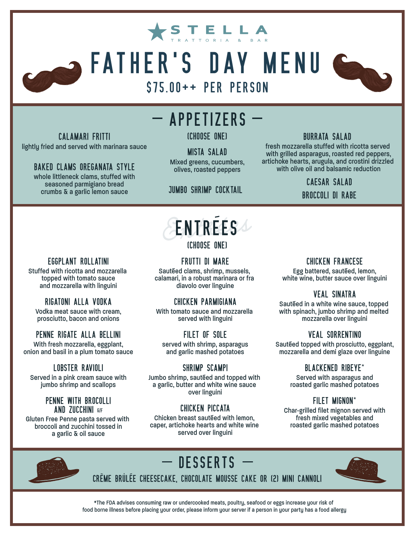ASTELLA

**SATHER'S DAY MENU** \$75.00++ PER PERSON



# $-$  APPETIZERS  $-$

lightly fried and served with marinara sauce CALAMARI FRITTI

# BAKED CLAMS OREGANATA STYLE

whole littleneck clams, stuffed with seasoned parmigiano bread crumbs & a garlic lemon sauce

(CHOOSE ONE)

MISTA SALAD Mixed greens, cucumbers, olives, roasted peppers

#### JUMBO SHRIMP COCKTAIL

### BURRATA SALAD

fresh mozzarella stuffed with ricotta served with grilled asparagus, roasted red peppers, artichoke hearts, arugula, and crostini drizzled with olive oil and balsamic reduction

> CAESAR SALAD BROCCOLI DI RABE

#### EGGPLANT ROLLATINI

Stuffed with ricotta and mozzarella topped with tomato sauce and mozzarella with linguini

RIGATONI ALLA VODKA Vodka meat sauce with cream, prosciutto, bacon and onions

#### PENNE RIGATE ALLA BELLINI

With fresh mozzarella, eggplant, onion and basil in a plum tomato sauce

#### LOBSTER RAVIOLI Served in a pink cream sauce with jumbo shrimp and scallops

#### PENNE WITH BROCOLLI AND ZUCCHINI G/F

Gluten Free Penne pasta served with broccoli and zucchini tossed in a garlic & oil sauce

## diavolo over linguine CHICKEN PARMIGIANA

(CHOOSE ONE)

FRUTTI DI MARE Sautéed clams, shrimp, mussels, calamari, in a robust marinara or fra

**ENTREES** 

With tomato sauce and mozzarella served with linguini

FILET OF SOLE served with shrimp, asparagus and garlic mashed potatoes

#### SHRIMP SCAMPI

Jumbo shrimp, sautéed and topped with a garlic, butter and white wine sauce over linguini

## CHICKEN PICCATA

Chicken breast sautéed with lemon, caper, artichoke hearts and white wine served over linguini

#### CHICKEN FRANCESE

Egg battered, sautéed, lemon, white wine, butter sauce over linguini

## VEAL SINATRA

Sautéed in a white wine sauce, topped with spinach, jumbo shrimp and melted mozzarella over linguini

#### VEAL SORRENTINO

Sautéed topped with prosciutto, eggplant, mozzarella and demi glaze over linguine

#### BLACKENED RIBEYE\*

Served with asparagus and roasted garlic mashed potatoes

#### FILET MIGNON\*

Char-grilled filet mignon served with fresh mixed vegetables and roasted garlic mashed potatoes



# - DESSERTS -

CREME BRULEE CHEESECAKE, CHOCOLATE MOUSSE CAKE OR (2) MINI CANNOLI



\*The FDA advises consuming raw or undercooked meats, poultry, seafood or eggs increase your risk of food borne illness before placing your order, please inform your server if a person in your party has a food allergy